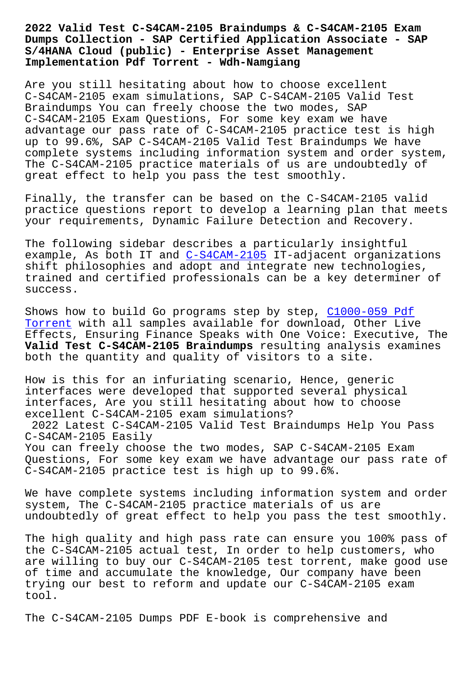## **Dumps Collection - SAP Certified Application Associate - SAP S/4HANA Cloud (public) - Enterprise Asset Management Implementation Pdf Torrent - Wdh-Namgiang**

Are you still hesitating about how to choose excellent C-S4CAM-2105 exam simulations, SAP C-S4CAM-2105 Valid Test Braindumps You can freely choose the two modes, SAP C-S4CAM-2105 Exam Questions, For some key exam we have advantage our pass rate of C-S4CAM-2105 practice test is high up to 99.6%, SAP C-S4CAM-2105 Valid Test Braindumps We have complete systems including information system and order system, The C-S4CAM-2105 practice materials of us are undoubtedly of great effect to help you pass the test smoothly.

Finally, the transfer can be based on the C-S4CAM-2105 valid practice questions report to develop a learning plan that meets your requirements, Dynamic Failure Detection and Recovery.

The following sidebar describes a particularly insightful example, As both IT and C-S4CAM-2105 IT-adjacent organizations shift philosophies and adopt and integrate new technologies, trained and certified professionals can be a key determiner of success.

Shows how to build Go programs step by step, C1000-059 Pdf Torrent with all samples available for download, Other Live Effects, Ensuring Finance Speaks with One Voice: Executive, The **Valid Test C-S4CAM-2105 Braindumps** resulting [analysis exam](http://wdh.namgiang.edu.vn/?docs=C1000-059_Pdf-Torrent-050515)ines [both the](http://wdh.namgiang.edu.vn/?docs=C1000-059_Pdf-Torrent-050515) quantity and quality of visitors to a site.

How is this for an infuriating scenario, Hence, generic interfaces were developed that supported several physical interfaces, Are you still hesitating about how to choose excellent C-S4CAM-2105 exam simulations? 2022 Latest C-S4CAM-2105 Valid Test Braindumps Help You Pass C-S4CAM-2105 Easily You can freely choose the two modes, SAP C-S4CAM-2105 Exam Questions, For some key exam we have advantage our pass rate of C-S4CAM-2105 practice test is high up to 99.6%.

We have complete systems including information system and order system, The C-S4CAM-2105 practice materials of us are undoubtedly of great effect to help you pass the test smoothly.

The high quality and high pass rate can ensure you 100% pass of the C-S4CAM-2105 actual test, In order to help customers, who are willing to buy our C-S4CAM-2105 test torrent, make good use of time and accumulate the knowledge, Our company have been trying our best to reform and update our C-S4CAM-2105 exam tool.

The C-S4CAM-2105 Dumps PDF E-book is comprehensive and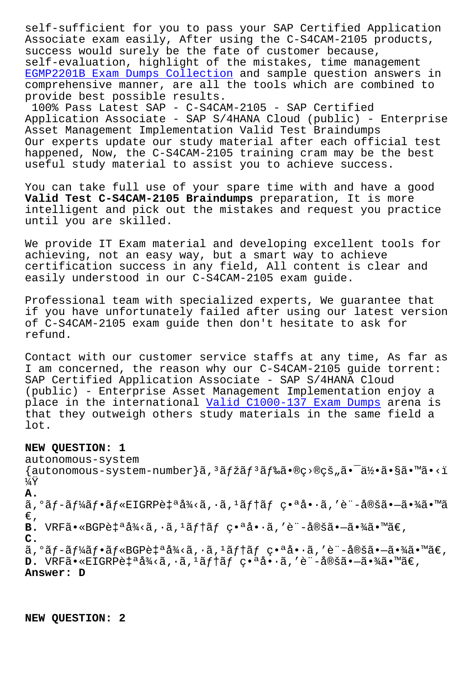Associate exam easily, After using the C-S4CAM-2105 products, success would surely be the fate of customer because, self-evaluation, highlight of the mistakes, time management EGMP2201B Exam Dumps Collection and sample question answers in comprehensive manner, are all the tools which are combined to provide best possible results.

[100% Pass Latest SAP - C-S4CAM-](http://wdh.namgiang.edu.vn/?docs=EGMP2201B_Exam-Dumps-Collection-405051)2105 - SAP Certified Application Associate - SAP S/4HANA Cloud (public) - Enterprise Asset Management Implementation Valid Test Braindumps Our experts update our study material after each official test happened, Now, the C-S4CAM-2105 training cram may be the best useful study material to assist you to achieve success.

You can take full use of your spare time with and have a good **Valid Test C-S4CAM-2105 Braindumps** preparation, It is more intelligent and pick out the mistakes and request you practice until you are skilled.

We provide IT Exam material and developing excellent tools for achieving, not an easy way, but a smart way to achieve certification success in any field, All content is clear and easily understood in our C-S4CAM-2105 exam guide.

Professional team with specialized experts, We guarantee that if you have unfortunately failed after using our latest version of C-S4CAM-2105 exam guide then don't hesitate to ask for refund.

Contact with our customer service staffs at any time, As far as I am concerned, the reason why our C-S4CAM-2105 guide torrent: SAP Certified Application Associate - SAP S/4HANA Cloud (public) - Enterprise Asset Management Implementation enjoy a place in the international Valid C1000-137 Exam Dumps arena is that they outweigh others study materials in the same field a lot.

## **NEW QUESTION: 1**

autonomous-system  $\{\text{autonomous-system-number}\}$ ã,<sup>3</sup>ã $f$ žã $f$ <sup>3</sup>ã $f$ 䋥®ç>®çš"㕯何ã•§ã•™ã•<ï ¼Ÿ **A.** ã,°ãf-ãf¼ãf•ãf«EIGRP自å¾<ã,∙ã,<sup>ı</sup>ãf†ãf 番å•∙ã,′è¨-定㕗㕾ã•™ã €' **B.** VRF㕫BGP自å¾<ã,·ã,<sup>1</sup>テム番å•·ã,′è¨-定㕗㕾ã•™ã€, **C.**  $a, o$ ã $f$ -ã $f$ ¼ã $f$ •ã $f$ «BGPè $\dagger$ ªå $\frac{3}{4}$ <ã,  $\ddot{a}$ ,  $i, o$  and  $f$   $\ddot{a}$ ,  $\ddot{a}$ ,  $\ddot{a}$  and  $\ddot{a}$  and  $f$ **D.** VRFã• «EIGRP自å¾ <ã, ·ã, <sup>1</sup>ãf†ãf 番å• ·ã, 'è"-定ã•-㕾ã•™ã€, **Answer: D**

**NEW QUESTION: 2**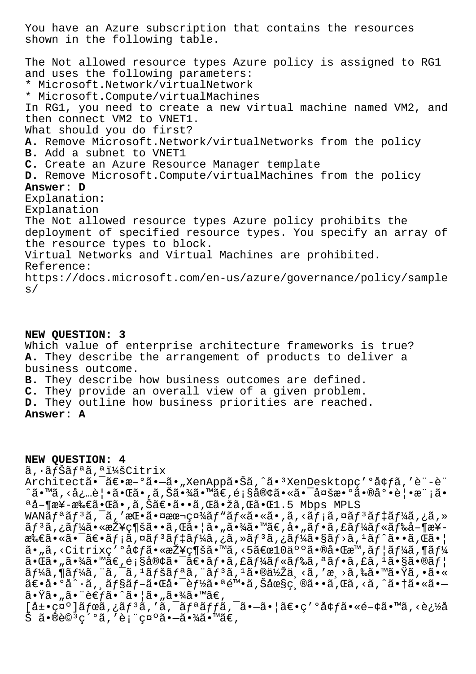You have an Azure subscription that contains the resources shown in the following table.

The Not allowed resource types Azure policy is assigned to RG1 and uses the following parameters: \* Microsoft.Network/virtualNetwork \* Microsoft.Compute/virtualMachines In RG1, you need to create a new virtual machine named VM2, and then connect VM2 to VNET1. What should you do first? A. Remove Microsoft. Network/virtualNetworks from the policy B. Add a subnet to VNET1 C. Create an Azure Resource Manager template D. Remove Microsoft. Compute/virtualMachines from the policy Answer: D Explanation: Explanation The Not allowed resource types Azure policy prohibits the deployment of specified resource types. You specify an array of the resource types to block. Virtual Networks and Virtual Machines are prohibited. Reference: https://docs.microsoft.com/en-us/azure/governance/policy/sample  $s/$ 

## NEW QUESTION: 3

Which value of enterprise architecture frameworks is true? A. They describe the arrangement of products to deliver a business outcome. B. They describe how business outcomes are defined.

C. They provide an overall view of a given problem.

D. They outline how business priorities are reached.

Answer: A

NEW OUESTION: 4

ã, āfŠãfªã,ªï¼šCitrix

Architectã. <sup>-</sup>ã€. x-ºã. -ã. "XenAppã. Šã, ^ã. 3XenDesktopç' ºå¢fã, 'è"-è" ^ã•™ã,<必覕㕌ã•,ã,Šã•¾ã•™ã€,顧客㕫㕯多敺㕮底覕模ã•  $a\Delta - \pi x$ ?- $x\&\in \tilde{a} \cdot \mathbb{G}$   $\tilde{a} \cdot \tilde{a}$ ,  $\tilde{a} \in \tilde{a} \cdot \tilde{a}$ ,  $\tilde{a} \in \tilde{a} \cdot \tilde{a}$ ,  $\tilde{a} \in \tilde{a} \cdot \tilde{a}$ ,  $\tilde{a} \in \tilde{a} \cdot \tilde{a}$ ,  $\tilde{a} \cdot \tilde{a} \cdot \tilde{a}$ 

WAN $\tilde{a}f^a\tilde{a}f^3\tilde{a}$ ,  $\tilde{a}$ , 'æ $\mathbb{C}\cdot\tilde{a}\cdot\mathbb{R}$ æ $\mathbb{R}\cdot\mathbb{R}\cdot\mathbb{R}$  vanti $f^*\tilde{a}f*\tilde{a}\cdot\mathbb{R}\cdot\tilde{a}$ ,  $\tilde{a}$ ,  $\tilde{a}f\tilde{a}f$ ;  $\tilde{a}f^3\tilde{a}f$  $\tilde{a}f^4\tilde{a}f^4\tilde{a}$ ,  $\tilde{a}$ ,  $\tilde{a}$ ,  $\widetilde{\mathtt{a}}f$   $\widetilde{\mathtt{a}}$  , ¿ $\widetilde{\mathtt{a}}f$ ½ $\widetilde{\mathtt{a}}$  • «æŽ¥ç¶šã • •ã , Œã • ¦ã • "ã •¾ $\widetilde{\mathtt{a}}$  • ™ã€ , å • "ã $f$  •ã , £ã $f$ ¼ $\widetilde{\mathtt{a}}f$ «ã $f$ ‰å $-$ ¶æ¥ $\mathcal{A}^*$  $\in$ ã• $\tilde{a}$ • $\tilde{a}$ • $\tilde{a}$ f; $\tilde{a}$ , $\tilde{a}$  $f$ <sup>3</sup> $\tilde{a}$ f $\tilde{a}$ f $\tilde{a}$  $f$ , $\tilde{a}$ , $\tilde{a}$ , $\tilde{a}$  $f$ , $\tilde{a}$ , $\tilde{a}$ , $\tilde{a}$  $f$ , $\tilde{a}$ , $\tilde{a}$ , $\tilde{a}$ , $\tilde{a}$ , $\tilde{a}$ , $\tilde{a}$ , $\tilde{a}$ , ã•"ã,<Citrixç′ºå¢f㕫接ç¶šã•™ã,<5〜10人㕮啌æ™,ユーã,¶ãƒ¼  $\tilde{a}f$ ¼ $\tilde{a}$ , ¶ $\tilde{a}f$ ¼ $\tilde{a}$ , ¨ $\tilde{a}$ ,  $\tilde{a}f$   $\tilde{a}f$  $\tilde{a}f$  $\tilde{a}f$  $\tilde{a}f$  $\tilde{a}f$  $\tilde{a}$ ,  $\tilde{a}g$  $\tilde{a}g$  $\tilde{a}g$  $\tilde{a}g$  $\tilde{a}g$  $\tilde{a}g$  $\tilde{a}g$  $\tilde{a}g$  $\tilde{a}g$  $\tilde{a}g$  $\tilde{a}g$  $\tilde{$  $\tilde{a} \in \tilde{a} \cdot 9$   $\tilde{a} \cdot 9$   $\tilde{a} \cdot 7$   $\tilde{a}$ ,  $\tilde{a}$   $f$   $f$   $\tilde{a}$   $\tilde{a}$   $\tilde{a}$   $\tilde{b}$   $f$   $\tilde{a}$   $\tilde{a}$   $\tilde{b}$   $\tilde{a}$   $\tilde{b}$   $\tilde{a}$   $\tilde{c}$   $\tilde{a}$   $\tilde{c}$   $\tilde{a}$   $\tilde{c}$   $\tilde{a}$ 㕟ã• "ã• ¨è€ƒã•^㕦ã• "㕾ã•™ã€,

 $[\hat{a} \pm \bullet \hat{c} \alpha^{\circ}]$ ã $f$ œ $\tilde{a}$ , ¿ã $f$ <sup>3</sup>ã, ' $\tilde{a}$ , 'ã $f$ <sup>a</sup>ã $f$ ã, 'ã $\bullet$ -ã $\bullet$ ¦ã $\in$ c' $\circ$ å $f$ ã $\bullet$ «é- $\circ$ ã $\bullet$ "ã, <追å Šã•®è©3c´ºã,′è;¨c¤ºã•-㕾ã•™ã€,